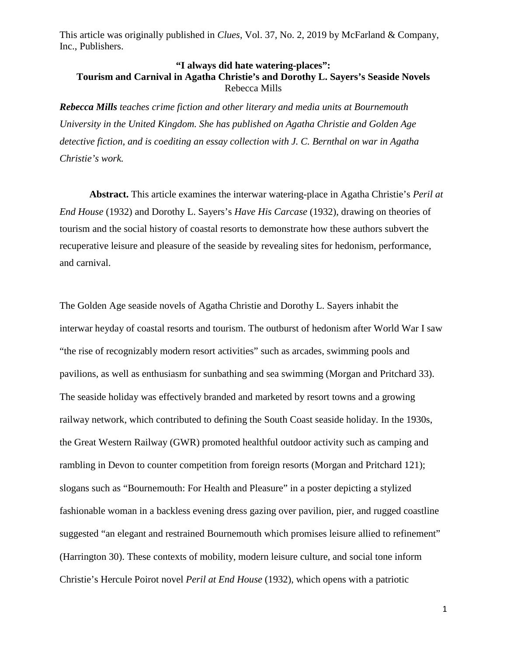## **"I always did hate watering-places": Tourism and Carnival in Agatha Christie's and Dorothy L. Sayers's Seaside Novels** Rebecca Mills

*Rebecca Mills teaches crime fiction and other literary and media units at Bournemouth University in the United Kingdom. She has published on Agatha Christie and Golden Age detective fiction, and is coediting an essay collection with J. C. Bernthal on war in Agatha Christie's work.*

**Abstract.** This article examines the interwar watering-place in Agatha Christie's *Peril at End House* (1932) and Dorothy L. Sayers's *Have His Carcase* (1932), drawing on theories of tourism and the social history of coastal resorts to demonstrate how these authors subvert the recuperative leisure and pleasure of the seaside by revealing sites for hedonism, performance, and carnival.

The Golden Age seaside novels of Agatha Christie and Dorothy L. Sayers inhabit the interwar heyday of coastal resorts and tourism. The outburst of hedonism after World War I saw "the rise of recognizably modern resort activities" such as arcades, swimming pools and pavilions, as well as enthusiasm for sunbathing and sea swimming (Morgan and Pritchard 33). The seaside holiday was effectively branded and marketed by resort towns and a growing railway network, which contributed to defining the South Coast seaside holiday. In the 1930s, the Great Western Railway (GWR) promoted healthful outdoor activity such as camping and rambling in Devon to counter competition from foreign resorts (Morgan and Pritchard 121); slogans such as "Bournemouth: For Health and Pleasure" in a poster depicting a stylized fashionable woman in a backless evening dress gazing over pavilion, pier, and rugged coastline suggested "an elegant and restrained Bournemouth which promises leisure allied to refinement" (Harrington 30). These contexts of mobility, modern leisure culture, and social tone inform Christie's Hercule Poirot novel *Peril at End House* (1932), which opens with a patriotic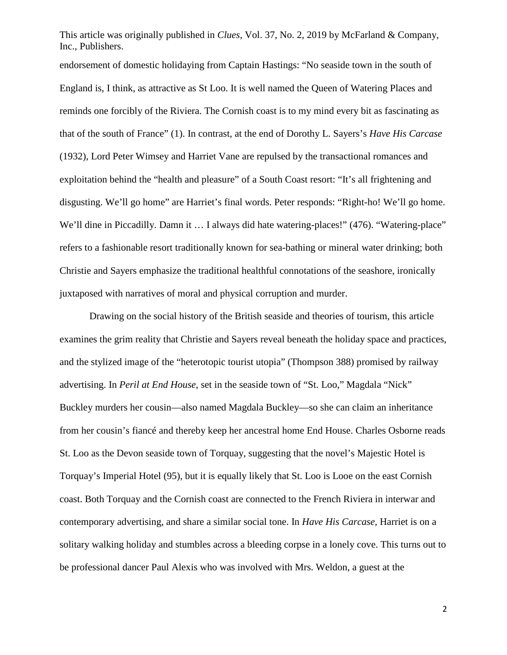endorsement of domestic holidaying from Captain Hastings: "No seaside town in the south of England is, I think, as attractive as St Loo. It is well named the Queen of Watering Places and reminds one forcibly of the Riviera. The Cornish coast is to my mind every bit as fascinating as that of the south of France" (1). In contrast, at the end of Dorothy L. Sayers's *Have His Carcase* (1932), Lord Peter Wimsey and Harriet Vane are repulsed by the transactional romances and exploitation behind the "health and pleasure" of a South Coast resort: "It's all frightening and disgusting. We'll go home" are Harriet's final words. Peter responds: "Right-ho! We'll go home. We'll dine in Piccadilly. Damn it ... I always did hate watering-places!" (476). "Watering-place" refers to a fashionable resort traditionally known for sea-bathing or mineral water drinking; both Christie and Sayers emphasize the traditional healthful connotations of the seashore, ironically juxtaposed with narratives of moral and physical corruption and murder.

Drawing on the social history of the British seaside and theories of tourism, this article examines the grim reality that Christie and Sayers reveal beneath the holiday space and practices, and the stylized image of the "heterotopic tourist utopia" (Thompson 388) promised by railway advertising. In *Peril at End House*, set in the seaside town of "St. Loo," Magdala "Nick" Buckley murders her cousin—also named Magdala Buckley—so she can claim an inheritance from her cousin's fiancé and thereby keep her ancestral home End House. Charles Osborne reads St. Loo as the Devon seaside town of Torquay, suggesting that the novel's Majestic Hotel is Torquay's Imperial Hotel (95), but it is equally likely that St. Loo is Looe on the east Cornish coast. Both Torquay and the Cornish coast are connected to the French Riviera in interwar and contemporary advertising, and share a similar social tone. In *Have His Carcase*, Harriet is on a solitary walking holiday and stumbles across a bleeding corpse in a lonely cove. This turns out to be professional dancer Paul Alexis who was involved with Mrs. Weldon, a guest at the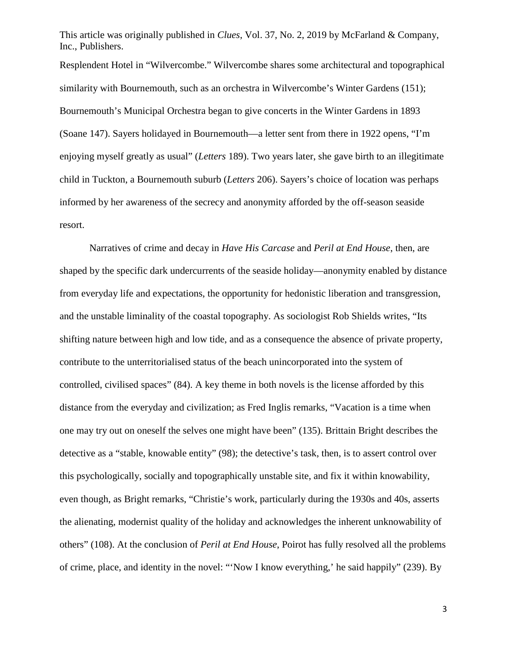Resplendent Hotel in "Wilvercombe." Wilvercombe shares some architectural and topographical similarity with Bournemouth, such as an orchestra in Wilvercombe's Winter Gardens (151); Bournemouth's Municipal Orchestra began to give concerts in the Winter Gardens in 1893 (Soane 147). Sayers holidayed in Bournemouth—a letter sent from there in 1922 opens, "I'm enjoying myself greatly as usual" (*Letters* 189). Two years later, she gave birth to an illegitimate child in Tuckton, a Bournemouth suburb (*Letters* 206). Sayers's choice of location was perhaps informed by her awareness of the secrecy and anonymity afforded by the off-season seaside resort.

Narratives of crime and decay in *Have His Carcase* and *Peril at End House*, then, are shaped by the specific dark undercurrents of the seaside holiday—anonymity enabled by distance from everyday life and expectations, the opportunity for hedonistic liberation and transgression, and the unstable liminality of the coastal topography. As sociologist Rob Shields writes, "Its shifting nature between high and low tide, and as a consequence the absence of private property, contribute to the unterritorialised status of the beach unincorporated into the system of controlled, civilised spaces" (84). A key theme in both novels is the license afforded by this distance from the everyday and civilization; as Fred Inglis remarks, "Vacation is a time when one may try out on oneself the selves one might have been" (135). Brittain Bright describes the detective as a "stable, knowable entity" (98); the detective's task, then, is to assert control over this psychologically, socially and topographically unstable site, and fix it within knowability, even though, as Bright remarks, "Christie's work, particularly during the 1930s and 40s, asserts the alienating, modernist quality of the holiday and acknowledges the inherent unknowability of others" (108). At the conclusion of *Peril at End House*, Poirot has fully resolved all the problems of crime, place, and identity in the novel: "'Now I know everything,' he said happily" (239). By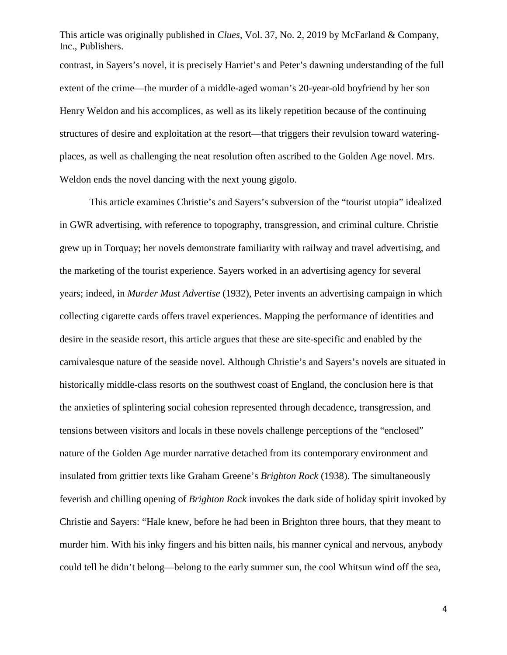This article was originally published in *Clues*, Vol. 37, No. 2, 2019 by McFarland & Company, Inc., Publishers. contrast, in Sayers's novel, it is precisely Harriet's and Peter's dawning understanding of the full extent of the crime—the murder of a middle-aged woman's 20-year-old boyfriend by her son Henry Weldon and his accomplices, as well as its likely repetition because of the continuing structures of desire and exploitation at the resort—that triggers their revulsion toward wateringplaces, as well as challenging the neat resolution often ascribed to the Golden Age novel. Mrs. Weldon ends the novel dancing with the next young gigolo.

This article examines Christie's and Sayers's subversion of the "tourist utopia" idealized in GWR advertising, with reference to topography, transgression, and criminal culture. Christie grew up in Torquay; her novels demonstrate familiarity with railway and travel advertising, and the marketing of the tourist experience. Sayers worked in an advertising agency for several years; indeed, in *Murder Must Advertise* (1932), Peter invents an advertising campaign in which collecting cigarette cards offers travel experiences. Mapping the performance of identities and desire in the seaside resort, this article argues that these are site-specific and enabled by the carnivalesque nature of the seaside novel. Although Christie's and Sayers's novels are situated in historically middle-class resorts on the southwest coast of England, the conclusion here is that the anxieties of splintering social cohesion represented through decadence, transgression, and tensions between visitors and locals in these novels challenge perceptions of the "enclosed" nature of the Golden Age murder narrative detached from its contemporary environment and insulated from grittier texts like Graham Greene's *Brighton Rock* (1938). The simultaneously feverish and chilling opening of *Brighton Rock* invokes the dark side of holiday spirit invoked by Christie and Sayers: "Hale knew, before he had been in Brighton three hours, that they meant to murder him. With his inky fingers and his bitten nails, his manner cynical and nervous, anybody could tell he didn't belong—belong to the early summer sun, the cool Whitsun wind off the sea,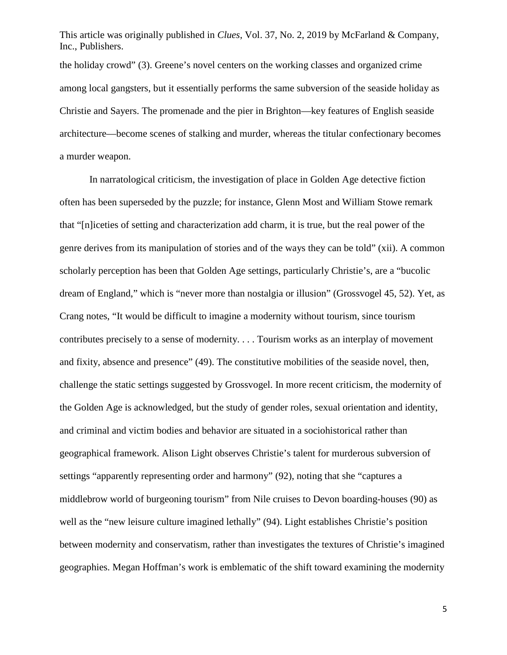This article was originally published in *Clues*, Vol. 37, No. 2, 2019 by McFarland & Company, Inc., Publishers. the holiday crowd" (3). Greene's novel centers on the working classes and organized crime among local gangsters, but it essentially performs the same subversion of the seaside holiday as Christie and Sayers. The promenade and the pier in Brighton—key features of English seaside architecture—become scenes of stalking and murder, whereas the titular confectionary becomes a murder weapon.

In narratological criticism, the investigation of place in Golden Age detective fiction often has been superseded by the puzzle; for instance, Glenn Most and William Stowe remark that "[n]iceties of setting and characterization add charm, it is true, but the real power of the genre derives from its manipulation of stories and of the ways they can be told" (xii). A common scholarly perception has been that Golden Age settings, particularly Christie's, are a "bucolic dream of England," which is "never more than nostalgia or illusion" (Grossvogel 45, 52). Yet, as Crang notes, "It would be difficult to imagine a modernity without tourism, since tourism contributes precisely to a sense of modernity. . . . Tourism works as an interplay of movement and fixity, absence and presence" (49). The constitutive mobilities of the seaside novel, then, challenge the static settings suggested by Grossvogel. In more recent criticism, the modernity of the Golden Age is acknowledged, but the study of gender roles, sexual orientation and identity, and criminal and victim bodies and behavior are situated in a sociohistorical rather than geographical framework. Alison Light observes Christie's talent for murderous subversion of settings "apparently representing order and harmony" (92), noting that she "captures a middlebrow world of burgeoning tourism" from Nile cruises to Devon boarding-houses (90) as well as the "new leisure culture imagined lethally" (94). Light establishes Christie's position between modernity and conservatism, rather than investigates the textures of Christie's imagined geographies. Megan Hoffman's work is emblematic of the shift toward examining the modernity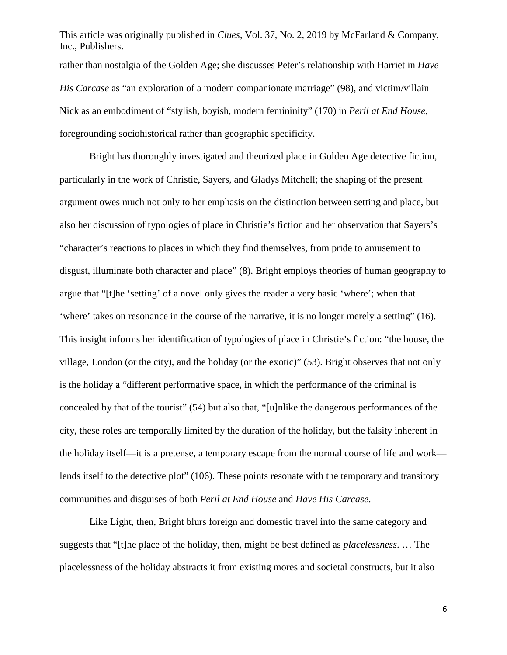This article was originally published in *Clues*, Vol. 37, No. 2, 2019 by McFarland & Company, Inc., Publishers. rather than nostalgia of the Golden Age; she discusses Peter's relationship with Harriet in *Have His Carcase* as "an exploration of a modern companionate marriage" (98), and victim/villain Nick as an embodiment of "stylish, boyish, modern femininity" (170) in *Peril at End House*, foregrounding sociohistorical rather than geographic specificity.

Bright has thoroughly investigated and theorized place in Golden Age detective fiction, particularly in the work of Christie, Sayers, and Gladys Mitchell; the shaping of the present argument owes much not only to her emphasis on the distinction between setting and place, but also her discussion of typologies of place in Christie's fiction and her observation that Sayers's "character's reactions to places in which they find themselves, from pride to amusement to disgust, illuminate both character and place" (8). Bright employs theories of human geography to argue that "[t]he 'setting' of a novel only gives the reader a very basic 'where'; when that 'where' takes on resonance in the course of the narrative, it is no longer merely a setting" (16). This insight informs her identification of typologies of place in Christie's fiction: "the house, the village, London (or the city), and the holiday (or the exotic)" (53). Bright observes that not only is the holiday a "different performative space, in which the performance of the criminal is concealed by that of the tourist" (54) but also that, "[u]nlike the dangerous performances of the city, these roles are temporally limited by the duration of the holiday, but the falsity inherent in the holiday itself—it is a pretense, a temporary escape from the normal course of life and work lends itself to the detective plot" (106). These points resonate with the temporary and transitory communities and disguises of both *Peril at End House* and *Have His Carcase*.

Like Light, then, Bright blurs foreign and domestic travel into the same category and suggests that "[t]he place of the holiday, then, might be best defined as *placelessness*. … The placelessness of the holiday abstracts it from existing mores and societal constructs, but it also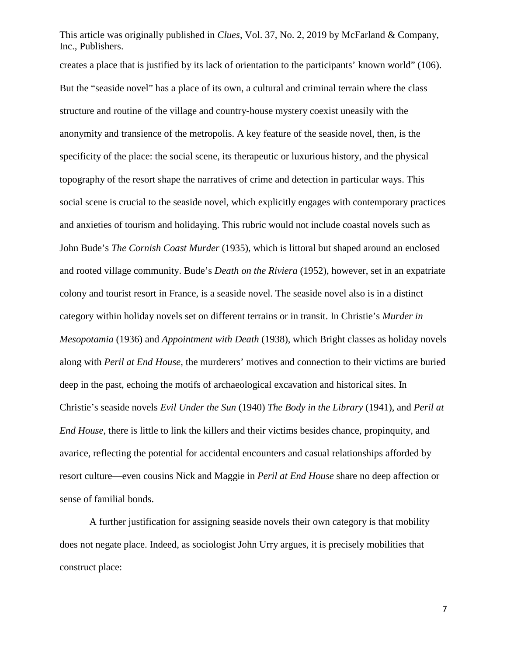creates a place that is justified by its lack of orientation to the participants' known world" (106). But the "seaside novel" has a place of its own, a cultural and criminal terrain where the class structure and routine of the village and country-house mystery coexist uneasily with the anonymity and transience of the metropolis. A key feature of the seaside novel, then, is the specificity of the place: the social scene, its therapeutic or luxurious history, and the physical topography of the resort shape the narratives of crime and detection in particular ways. This social scene is crucial to the seaside novel, which explicitly engages with contemporary practices and anxieties of tourism and holidaying. This rubric would not include coastal novels such as John Bude's *The Cornish Coast Murder* (1935), which is littoral but shaped around an enclosed and rooted village community. Bude's *Death on the Riviera* (1952), however, set in an expatriate colony and tourist resort in France, is a seaside novel. The seaside novel also is in a distinct category within holiday novels set on different terrains or in transit. In Christie's *Murder in Mesopotamia* (1936) and *Appointment with Death* (1938), which Bright classes as holiday novels along with *Peril at End House*, the murderers' motives and connection to their victims are buried deep in the past, echoing the motifs of archaeological excavation and historical sites. In Christie's seaside novels *Evil Under the Sun* (1940) *The Body in the Library* (1941), and *Peril at End House*, there is little to link the killers and their victims besides chance, propinquity, and avarice, reflecting the potential for accidental encounters and casual relationships afforded by resort culture—even cousins Nick and Maggie in *Peril at End House* share no deep affection or sense of familial bonds.

A further justification for assigning seaside novels their own category is that mobility does not negate place. Indeed, as sociologist John Urry argues, it is precisely mobilities that construct place: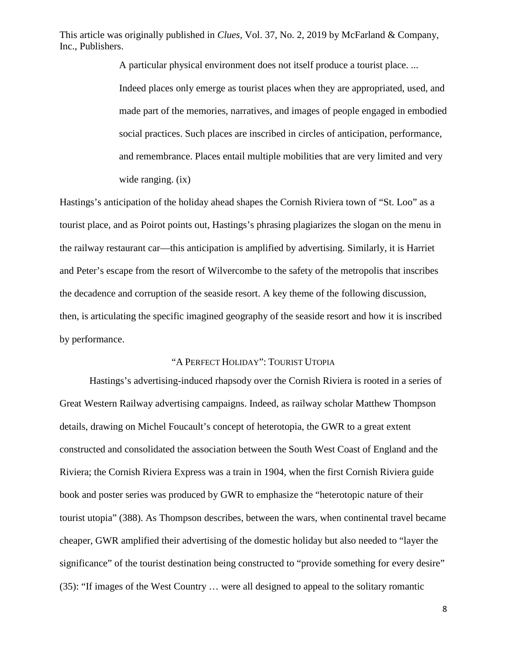> A particular physical environment does not itself produce a tourist place. ... Indeed places only emerge as tourist places when they are appropriated, used, and made part of the memories, narratives, and images of people engaged in embodied social practices. Such places are inscribed in circles of anticipation, performance, and remembrance. Places entail multiple mobilities that are very limited and very wide ranging. (ix)

Hastings's anticipation of the holiday ahead shapes the Cornish Riviera town of "St. Loo" as a tourist place, and as Poirot points out, Hastings's phrasing plagiarizes the slogan on the menu in the railway restaurant car—this anticipation is amplified by advertising. Similarly, it is Harriet and Peter's escape from the resort of Wilvercombe to the safety of the metropolis that inscribes the decadence and corruption of the seaside resort. A key theme of the following discussion, then, is articulating the specific imagined geography of the seaside resort and how it is inscribed by performance.

## "A PERFECT HOLIDAY": TOURIST UTOPIA

Hastings's advertising-induced rhapsody over the Cornish Riviera is rooted in a series of Great Western Railway advertising campaigns. Indeed, as railway scholar Matthew Thompson details, drawing on Michel Foucault's concept of heterotopia, the GWR to a great extent constructed and consolidated the association between the South West Coast of England and the Riviera; the Cornish Riviera Express was a train in 1904, when the first Cornish Riviera guide book and poster series was produced by GWR to emphasize the "heterotopic nature of their tourist utopia" (388). As Thompson describes, between the wars, when continental travel became cheaper, GWR amplified their advertising of the domestic holiday but also needed to "layer the significance" of the tourist destination being constructed to "provide something for every desire" (35): "If images of the West Country … were all designed to appeal to the solitary romantic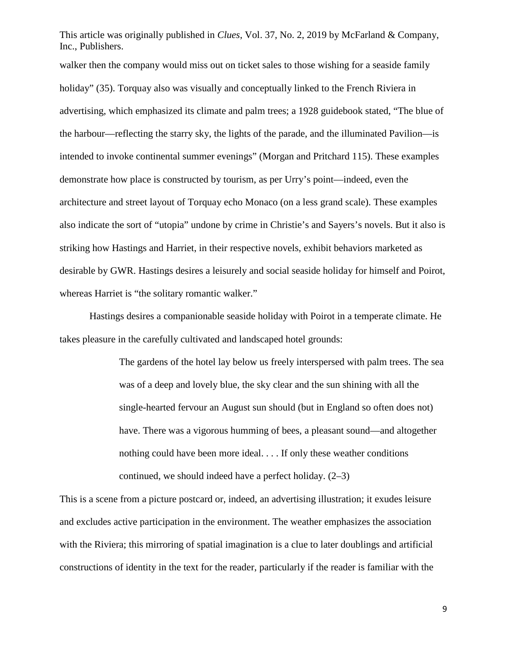walker then the company would miss out on ticket sales to those wishing for a seaside family holiday" (35). Torquay also was visually and conceptually linked to the French Riviera in advertising, which emphasized its climate and palm trees; a 1928 guidebook stated, "The blue of the harbour—reflecting the starry sky, the lights of the parade, and the illuminated Pavilion—is intended to invoke continental summer evenings" (Morgan and Pritchard 115). These examples demonstrate how place is constructed by tourism, as per Urry's point—indeed, even the architecture and street layout of Torquay echo Monaco (on a less grand scale). These examples also indicate the sort of "utopia" undone by crime in Christie's and Sayers's novels. But it also is striking how Hastings and Harriet, in their respective novels, exhibit behaviors marketed as desirable by GWR. Hastings desires a leisurely and social seaside holiday for himself and Poirot, whereas Harriet is "the solitary romantic walker."

Hastings desires a companionable seaside holiday with Poirot in a temperate climate. He takes pleasure in the carefully cultivated and landscaped hotel grounds:

> The gardens of the hotel lay below us freely interspersed with palm trees. The sea was of a deep and lovely blue, the sky clear and the sun shining with all the single-hearted fervour an August sun should (but in England so often does not) have. There was a vigorous humming of bees, a pleasant sound—and altogether nothing could have been more ideal. . . . If only these weather conditions continued, we should indeed have a perfect holiday. (2–3)

This is a scene from a picture postcard or, indeed, an advertising illustration; it exudes leisure and excludes active participation in the environment. The weather emphasizes the association with the Riviera; this mirroring of spatial imagination is a clue to later doublings and artificial constructions of identity in the text for the reader, particularly if the reader is familiar with the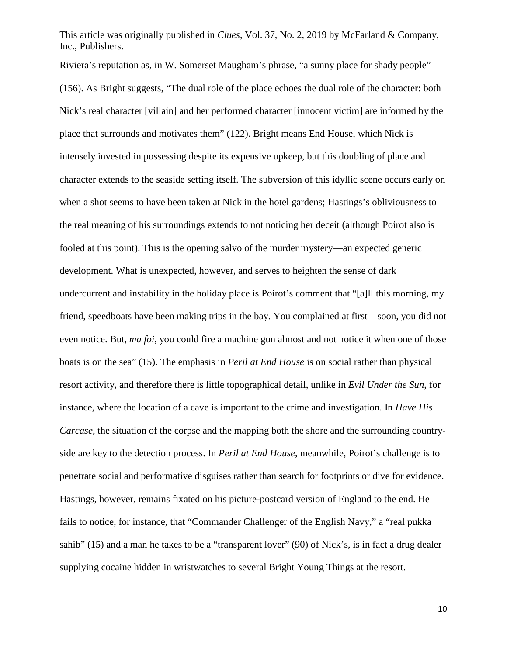Riviera's reputation as, in W. Somerset Maugham's phrase, "a sunny place for shady people" (156). As Bright suggests, "The dual role of the place echoes the dual role of the character: both Nick's real character [villain] and her performed character [innocent victim] are informed by the place that surrounds and motivates them" (122). Bright means End House, which Nick is intensely invested in possessing despite its expensive upkeep, but this doubling of place and character extends to the seaside setting itself. The subversion of this idyllic scene occurs early on when a shot seems to have been taken at Nick in the hotel gardens; Hastings's obliviousness to the real meaning of his surroundings extends to not noticing her deceit (although Poirot also is fooled at this point). This is the opening salvo of the murder mystery—an expected generic development. What is unexpected, however, and serves to heighten the sense of dark undercurrent and instability in the holiday place is Poirot's comment that "[a]ll this morning, my friend, speedboats have been making trips in the bay. You complained at first—soon, you did not even notice. But, *ma foi*, you could fire a machine gun almost and not notice it when one of those boats is on the sea" (15). The emphasis in *Peril at End House* is on social rather than physical resort activity, and therefore there is little topographical detail, unlike in *Evil Under the Sun*, for instance, where the location of a cave is important to the crime and investigation. In *Have His Carcase*, the situation of the corpse and the mapping both the shore and the surrounding countryside are key to the detection process. In *Peril at End House*, meanwhile, Poirot's challenge is to penetrate social and performative disguises rather than search for footprints or dive for evidence. Hastings, however, remains fixated on his picture-postcard version of England to the end. He fails to notice, for instance, that "Commander Challenger of the English Navy," a "real pukka sahib" (15) and a man he takes to be a "transparent lover" (90) of Nick's, is in fact a drug dealer supplying cocaine hidden in wristwatches to several Bright Young Things at the resort.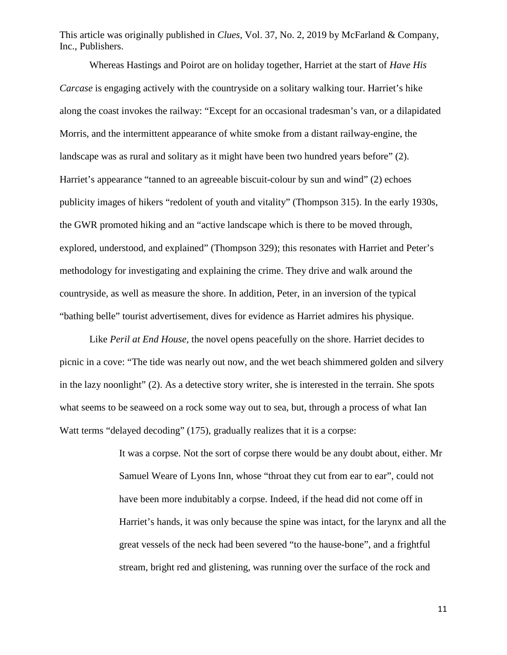Whereas Hastings and Poirot are on holiday together, Harriet at the start of *Have His Carcase* is engaging actively with the countryside on a solitary walking tour. Harriet's hike along the coast invokes the railway: "Except for an occasional tradesman's van, or a dilapidated Morris, and the intermittent appearance of white smoke from a distant railway-engine, the landscape was as rural and solitary as it might have been two hundred years before" (2). Harriet's appearance "tanned to an agreeable biscuit-colour by sun and wind" (2) echoes publicity images of hikers "redolent of youth and vitality" (Thompson 315). In the early 1930s, the GWR promoted hiking and an "active landscape which is there to be moved through, explored, understood, and explained" (Thompson 329); this resonates with Harriet and Peter's methodology for investigating and explaining the crime. They drive and walk around the countryside, as well as measure the shore. In addition, Peter, in an inversion of the typical "bathing belle" tourist advertisement, dives for evidence as Harriet admires his physique.

Like *Peril at End House,* the novel opens peacefully on the shore. Harriet decides to picnic in a cove: "The tide was nearly out now, and the wet beach shimmered golden and silvery in the lazy noonlight" (2). As a detective story writer, she is interested in the terrain. She spots what seems to be seaweed on a rock some way out to sea, but, through a process of what Ian Watt terms "delayed decoding" (175), gradually realizes that it is a corpse:

> It was a corpse. Not the sort of corpse there would be any doubt about, either. Mr Samuel Weare of Lyons Inn, whose "throat they cut from ear to ear", could not have been more indubitably a corpse. Indeed, if the head did not come off in Harriet's hands, it was only because the spine was intact, for the larynx and all the great vessels of the neck had been severed "to the hause-bone", and a frightful stream, bright red and glistening, was running over the surface of the rock and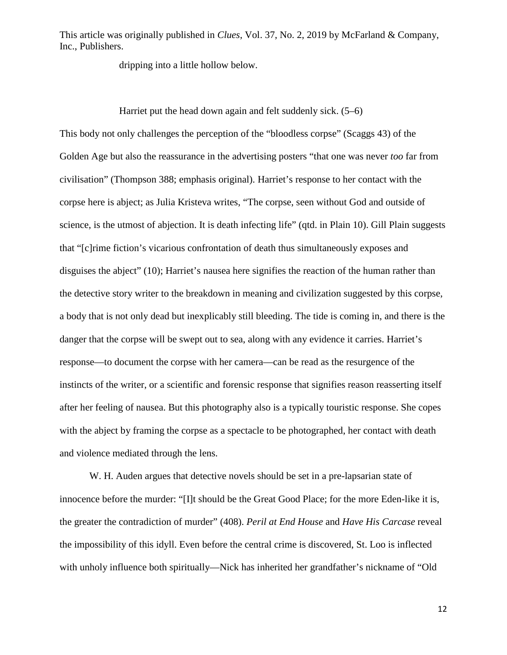dripping into a little hollow below.

Harriet put the head down again and felt suddenly sick. (5–6)

This body not only challenges the perception of the "bloodless corpse" (Scaggs 43) of the Golden Age but also the reassurance in the advertising posters "that one was never *too* far from civilisation" (Thompson 388; emphasis original). Harriet's response to her contact with the corpse here is abject; as Julia Kristeva writes, "The corpse, seen without God and outside of science, is the utmost of abjection. It is death infecting life" (qtd. in Plain 10). Gill Plain suggests that "[c]rime fiction's vicarious confrontation of death thus simultaneously exposes and disguises the abject" (10); Harriet's nausea here signifies the reaction of the human rather than the detective story writer to the breakdown in meaning and civilization suggested by this corpse, a body that is not only dead but inexplicably still bleeding. The tide is coming in, and there is the danger that the corpse will be swept out to sea, along with any evidence it carries. Harriet's response—to document the corpse with her camera—can be read as the resurgence of the instincts of the writer, or a scientific and forensic response that signifies reason reasserting itself after her feeling of nausea. But this photography also is a typically touristic response. She copes with the abject by framing the corpse as a spectacle to be photographed, her contact with death and violence mediated through the lens.

W. H. Auden argues that detective novels should be set in a pre-lapsarian state of innocence before the murder: "[I]t should be the Great Good Place; for the more Eden-like it is, the greater the contradiction of murder" (408). *Peril at End House* and *Have His Carcase* reveal the impossibility of this idyll. Even before the central crime is discovered, St. Loo is inflected with unholy influence both spiritually—Nick has inherited her grandfather's nickname of "Old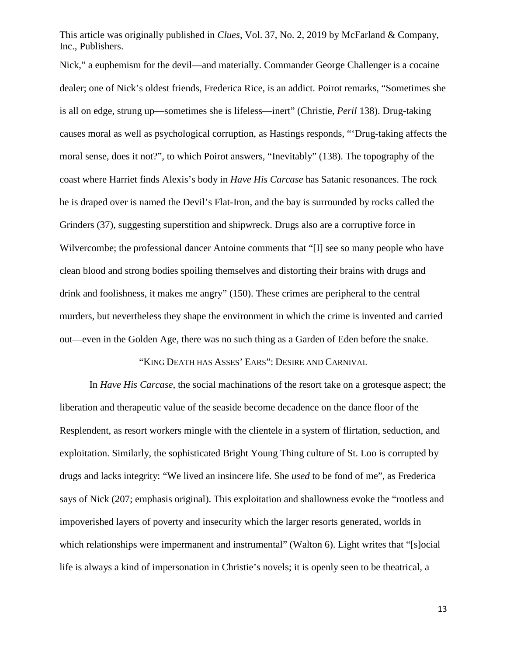Nick," a euphemism for the devil—and materially. Commander George Challenger is a cocaine dealer; one of Nick's oldest friends, Frederica Rice, is an addict. Poirot remarks, "Sometimes she is all on edge, strung up—sometimes she is lifeless—inert" (Christie, *Peril* 138). Drug-taking causes moral as well as psychological corruption, as Hastings responds, "'Drug-taking affects the moral sense, does it not?", to which Poirot answers, "Inevitably" (138). The topography of the coast where Harriet finds Alexis's body in *Have His Carcase* has Satanic resonances. The rock he is draped over is named the Devil's Flat-Iron, and the bay is surrounded by rocks called the Grinders (37), suggesting superstition and shipwreck. Drugs also are a corruptive force in Wilvercombe; the professional dancer Antoine comments that "[I] see so many people who have clean blood and strong bodies spoiling themselves and distorting their brains with drugs and drink and foolishness, it makes me angry" (150). These crimes are peripheral to the central murders, but nevertheless they shape the environment in which the crime is invented and carried out—even in the Golden Age, there was no such thing as a Garden of Eden before the snake.

"KING DEATH HAS ASSES' EARS": DESIRE AND CARNIVAL

In *Have His Carcase*, the social machinations of the resort take on a grotesque aspect; the liberation and therapeutic value of the seaside become decadence on the dance floor of the Resplendent, as resort workers mingle with the clientele in a system of flirtation, seduction, and exploitation. Similarly, the sophisticated Bright Young Thing culture of St. Loo is corrupted by drugs and lacks integrity: "We lived an insincere life. She *used* to be fond of me", as Frederica says of Nick (207; emphasis original). This exploitation and shallowness evoke the "rootless and impoverished layers of poverty and insecurity which the larger resorts generated, worlds in which relationships were impermanent and instrumental" (Walton 6). Light writes that "[s]ocial life is always a kind of impersonation in Christie's novels; it is openly seen to be theatrical, a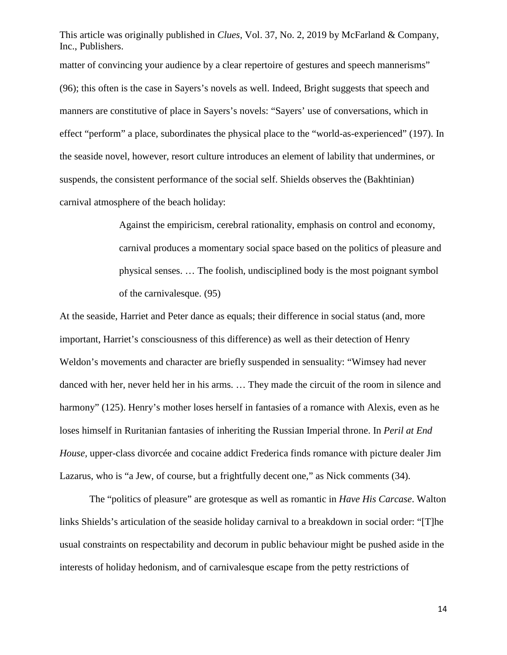matter of convincing your audience by a clear repertoire of gestures and speech mannerisms" (96); this often is the case in Sayers's novels as well. Indeed, Bright suggests that speech and manners are constitutive of place in Sayers's novels: "Sayers' use of conversations, which in effect "perform" a place, subordinates the physical place to the "world-as-experienced" (197). In the seaside novel, however, resort culture introduces an element of lability that undermines, or suspends, the consistent performance of the social self. Shields observes the (Bakhtinian) carnival atmosphere of the beach holiday:

> Against the empiricism, cerebral rationality, emphasis on control and economy, carnival produces a momentary social space based on the politics of pleasure and physical senses. … The foolish, undisciplined body is the most poignant symbol of the carnivalesque. (95)

At the seaside, Harriet and Peter dance as equals; their difference in social status (and, more important, Harriet's consciousness of this difference) as well as their detection of Henry Weldon's movements and character are briefly suspended in sensuality: "Wimsey had never danced with her, never held her in his arms. … They made the circuit of the room in silence and harmony" (125). Henry's mother loses herself in fantasies of a romance with Alexis, even as he loses himself in Ruritanian fantasies of inheriting the Russian Imperial throne. In *Peril at End House,* upper-class divorcée and cocaine addict Frederica finds romance with picture dealer Jim Lazarus, who is "a Jew, of course, but a frightfully decent one," as Nick comments (34).

The "politics of pleasure" are grotesque as well as romantic in *Have His Carcase*. Walton links Shields's articulation of the seaside holiday carnival to a breakdown in social order: "[T]he usual constraints on respectability and decorum in public behaviour might be pushed aside in the interests of holiday hedonism, and of carnivalesque escape from the petty restrictions of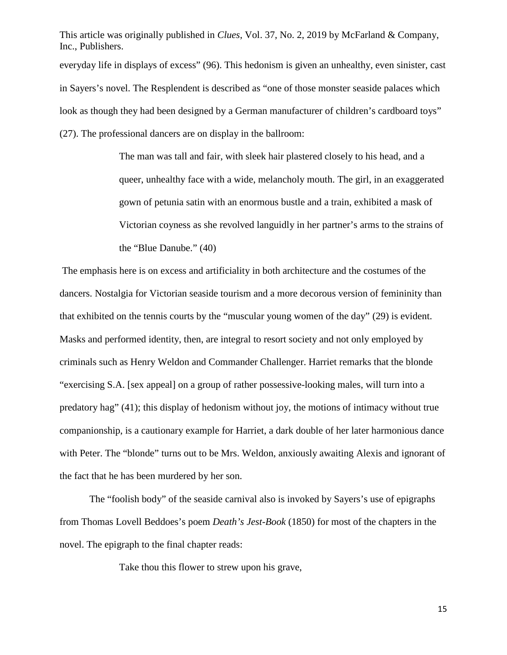This article was originally published in *Clues*, Vol. 37, No. 2, 2019 by McFarland & Company, Inc., Publishers. everyday life in displays of excess" (96). This hedonism is given an unhealthy, even sinister, cast in Sayers's novel. The Resplendent is described as "one of those monster seaside palaces which look as though they had been designed by a German manufacturer of children's cardboard toys" (27). The professional dancers are on display in the ballroom:

> The man was tall and fair, with sleek hair plastered closely to his head, and a queer, unhealthy face with a wide, melancholy mouth. The girl, in an exaggerated gown of petunia satin with an enormous bustle and a train, exhibited a mask of Victorian coyness as she revolved languidly in her partner's arms to the strains of the "Blue Danube." (40)

The emphasis here is on excess and artificiality in both architecture and the costumes of the dancers. Nostalgia for Victorian seaside tourism and a more decorous version of femininity than that exhibited on the tennis courts by the "muscular young women of the day" (29) is evident. Masks and performed identity, then, are integral to resort society and not only employed by criminals such as Henry Weldon and Commander Challenger. Harriet remarks that the blonde "exercising S.A. [sex appeal] on a group of rather possessive-looking males, will turn into a predatory hag" (41); this display of hedonism without joy, the motions of intimacy without true companionship, is a cautionary example for Harriet, a dark double of her later harmonious dance with Peter. The "blonde" turns out to be Mrs. Weldon, anxiously awaiting Alexis and ignorant of the fact that he has been murdered by her son.

The "foolish body" of the seaside carnival also is invoked by Sayers's use of epigraphs from Thomas Lovell Beddoes's poem *Death's Jest-Book* (1850) for most of the chapters in the novel. The epigraph to the final chapter reads:

Take thou this flower to strew upon his grave,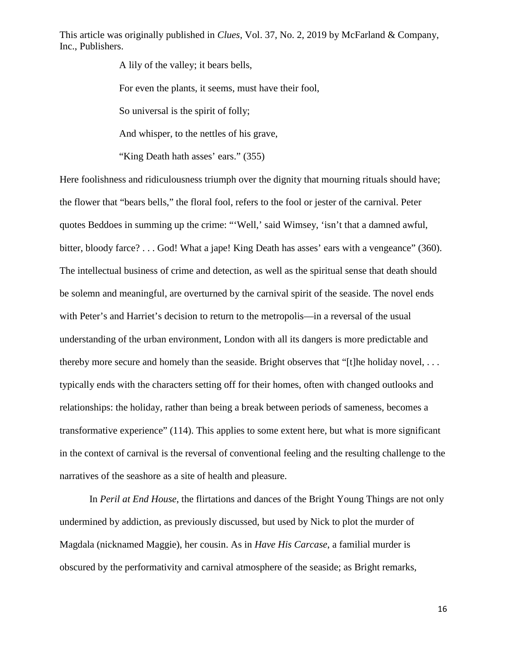A lily of the valley; it bears bells,

For even the plants, it seems, must have their fool,

So universal is the spirit of folly;

And whisper, to the nettles of his grave,

"King Death hath asses' ears." (355)

Here foolishness and ridiculousness triumph over the dignity that mourning rituals should have; the flower that "bears bells," the floral fool, refers to the fool or jester of the carnival. Peter quotes Beddoes in summing up the crime: "'Well,' said Wimsey, 'isn't that a damned awful, bitter, bloody farce? . . . God! What a jape! King Death has asses' ears with a vengeance" (360). The intellectual business of crime and detection, as well as the spiritual sense that death should be solemn and meaningful, are overturned by the carnival spirit of the seaside. The novel ends with Peter's and Harriet's decision to return to the metropolis—in a reversal of the usual understanding of the urban environment, London with all its dangers is more predictable and thereby more secure and homely than the seaside. Bright observes that "[t]he holiday novel, . . . typically ends with the characters setting off for their homes, often with changed outlooks and relationships: the holiday, rather than being a break between periods of sameness, becomes a transformative experience" (114). This applies to some extent here, but what is more significant in the context of carnival is the reversal of conventional feeling and the resulting challenge to the narratives of the seashore as a site of health and pleasure.

In *Peril at End House*, the flirtations and dances of the Bright Young Things are not only undermined by addiction, as previously discussed, but used by Nick to plot the murder of Magdala (nicknamed Maggie), her cousin. As in *Have His Carcase*, a familial murder is obscured by the performativity and carnival atmosphere of the seaside; as Bright remarks,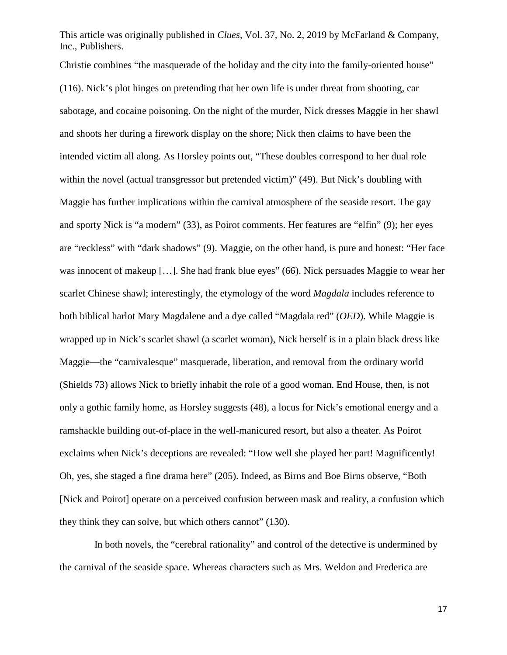Christie combines "the masquerade of the holiday and the city into the family-oriented house" (116). Nick's plot hinges on pretending that her own life is under threat from shooting, car sabotage, and cocaine poisoning. On the night of the murder, Nick dresses Maggie in her shawl and shoots her during a firework display on the shore; Nick then claims to have been the intended victim all along. As Horsley points out, "These doubles correspond to her dual role within the novel (actual transgressor but pretended victim)" (49). But Nick's doubling with Maggie has further implications within the carnival atmosphere of the seaside resort. The gay and sporty Nick is "a modern" (33), as Poirot comments. Her features are "elfin" (9); her eyes are "reckless" with "dark shadows" (9). Maggie, on the other hand, is pure and honest: "Her face was innocent of makeup [...]. She had frank blue eyes" (66). Nick persuades Maggie to wear her scarlet Chinese shawl; interestingly, the etymology of the word *Magdala* includes reference to both biblical harlot Mary Magdalene and a dye called "Magdala red" (*OED*). While Maggie is wrapped up in Nick's scarlet shawl (a scarlet woman), Nick herself is in a plain black dress like Maggie—the "carnivalesque" masquerade, liberation, and removal from the ordinary world (Shields 73) allows Nick to briefly inhabit the role of a good woman. End House, then, is not only a gothic family home, as Horsley suggests (48), a locus for Nick's emotional energy and a ramshackle building out-of-place in the well-manicured resort, but also a theater. As Poirot exclaims when Nick's deceptions are revealed: "How well she played her part! Magnificently! Oh, yes, she staged a fine drama here" (205). Indeed, as Birns and Boe Birns observe, "Both [Nick and Poirot] operate on a perceived confusion between mask and reality, a confusion which they think they can solve, but which others cannot" (130).

 In both novels, the "cerebral rationality" and control of the detective is undermined by the carnival of the seaside space. Whereas characters such as Mrs. Weldon and Frederica are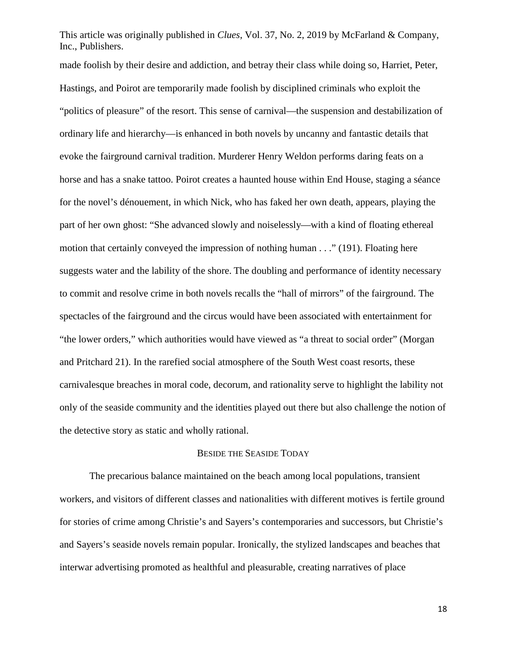made foolish by their desire and addiction, and betray their class while doing so, Harriet, Peter, Hastings, and Poirot are temporarily made foolish by disciplined criminals who exploit the "politics of pleasure" of the resort. This sense of carnival—the suspension and destabilization of ordinary life and hierarchy—is enhanced in both novels by uncanny and fantastic details that evoke the fairground carnival tradition. Murderer Henry Weldon performs daring feats on a horse and has a snake tattoo. Poirot creates a haunted house within End House, staging a séance for the novel's dénouement, in which Nick, who has faked her own death, appears, playing the part of her own ghost: "She advanced slowly and noiselessly—with a kind of floating ethereal motion that certainly conveyed the impression of nothing human . . ." (191). Floating here suggests water and the lability of the shore. The doubling and performance of identity necessary to commit and resolve crime in both novels recalls the "hall of mirrors" of the fairground. The spectacles of the fairground and the circus would have been associated with entertainment for "the lower orders," which authorities would have viewed as "a threat to social order" (Morgan and Pritchard 21). In the rarefied social atmosphere of the South West coast resorts, these carnivalesque breaches in moral code, decorum, and rationality serve to highlight the lability not only of the seaside community and the identities played out there but also challenge the notion of the detective story as static and wholly rational.

## BESIDE THE SEASIDE TODAY

The precarious balance maintained on the beach among local populations, transient workers, and visitors of different classes and nationalities with different motives is fertile ground for stories of crime among Christie's and Sayers's contemporaries and successors, but Christie's and Sayers's seaside novels remain popular. Ironically, the stylized landscapes and beaches that interwar advertising promoted as healthful and pleasurable, creating narratives of place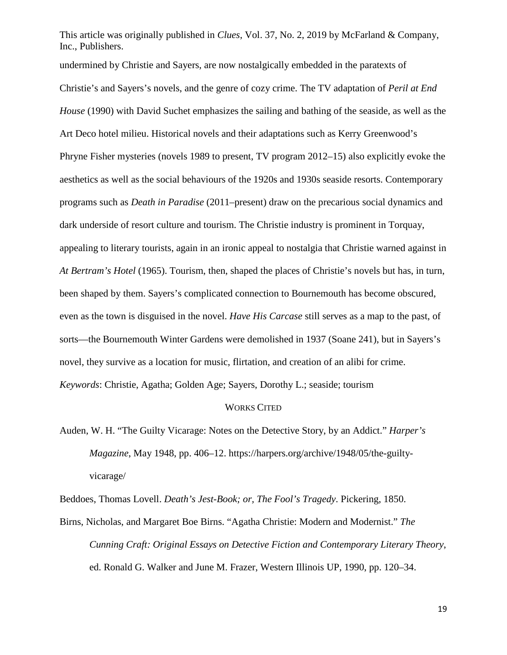This article was originally published in *Clues*, Vol. 37, No. 2, 2019 by McFarland & Company, Inc., Publishers. undermined by Christie and Sayers, are now nostalgically embedded in the paratexts of Christie's and Sayers's novels, and the genre of cozy crime. The TV adaptation of *Peril at End House* (1990) with David Suchet emphasizes the sailing and bathing of the seaside, as well as the

Art Deco hotel milieu. Historical novels and their adaptations such as Kerry Greenwood's Phryne Fisher mysteries (novels 1989 to present, TV program 2012–15) also explicitly evoke the aesthetics as well as the social behaviours of the 1920s and 1930s seaside resorts. Contemporary programs such as *Death in Paradise* (2011–present) draw on the precarious social dynamics and dark underside of resort culture and tourism. The Christie industry is prominent in Torquay, appealing to literary tourists, again in an ironic appeal to nostalgia that Christie warned against in *At Bertram's Hotel* (1965). Tourism, then, shaped the places of Christie's novels but has, in turn, been shaped by them. Sayers's complicated connection to Bournemouth has become obscured, even as the town is disguised in the novel. *Have His Carcase* still serves as a map to the past, of sorts—the Bournemouth Winter Gardens were demolished in 1937 (Soane 241), but in Sayers's novel, they survive as a location for music, flirtation, and creation of an alibi for crime. *Keywords*: Christie, Agatha; Golden Age; Sayers, Dorothy L.; seaside; tourism

## WORKS CITED

Auden, W. H. "The Guilty Vicarage: Notes on the Detective Story, by an Addict." *Harper's Magazine*, May 1948, pp. 406–12. https://harpers.org/archive/1948/05/the-guiltyvicarage/

Beddoes, Thomas Lovell. *Death's Jest-Book; or, The Fool's Tragedy*. Pickering, 1850. Birns, Nicholas, and Margaret Boe Birns. "Agatha Christie: Modern and Modernist." *The Cunning Craft: Original Essays on Detective Fiction and Contemporary Literary Theory*, ed. Ronald G. Walker and June M. Frazer, Western Illinois UP, 1990, pp. 120–34.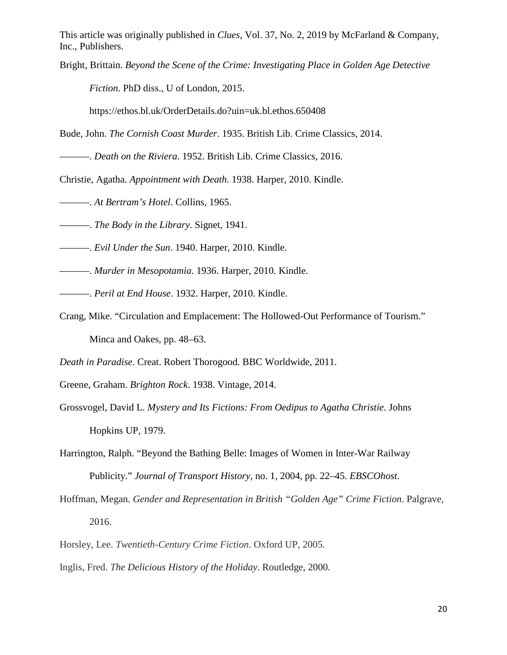Bright, Brittain. *Beyond the Scene of the Crime: Investigating Place in Golden Age Detective* 

*Fiction*. PhD diss., U of London, 2015.

https://ethos.bl.uk/OrderDetails.do?uin=uk.bl.ethos.650408

Bude, John. *The Cornish Coast Murder*. 1935. British Lib. Crime Classics, 2014.

———. *Death on the Riviera*. 1952. British Lib. Crime Classics, 2016.

Christie, Agatha. *Appointment with Death*. 1938. Harper, 2010. Kindle.

———. *At Bertram's Hotel*. Collins, 1965.

———. *The Body in the Library*. Signet, 1941.

———. *Evil Under the Sun*. 1940. Harper, 2010. Kindle.

———. *Murder in Mesopotamia*. 1936. Harper, 2010. Kindle.

———. *Peril at End House*. 1932. Harper, 2010. Kindle.

Crang, Mike. "Circulation and Emplacement: The Hollowed-Out Performance of Tourism." Minca and Oakes, pp. 48–63.

*Death in Paradise*. Creat. Robert Thorogood. BBC Worldwide, 2011.

Greene, Graham. *Brighton Rock*. 1938. Vintage, 2014.

Grossvogel, David L. *Mystery and Its Fictions: From Oedipus to Agatha Christie*. Johns Hopkins UP, 1979.

Harrington, Ralph. "Beyond the Bathing Belle: Images of Women in Inter-War Railway Publicity." *Journal of Transport History*, no. 1, 2004, pp. 22–45. *EBSCOhost*.

Hoffman, Megan. *Gender and Representation in British "Golden Age" Crime Fiction*. Palgrave, 2016.

Horsley, Lee. *Twentieth-Century Crime Fiction*. Oxford UP, 2005.

Inglis, Fred. *The Delicious History of the Holiday*. Routledge, 2000.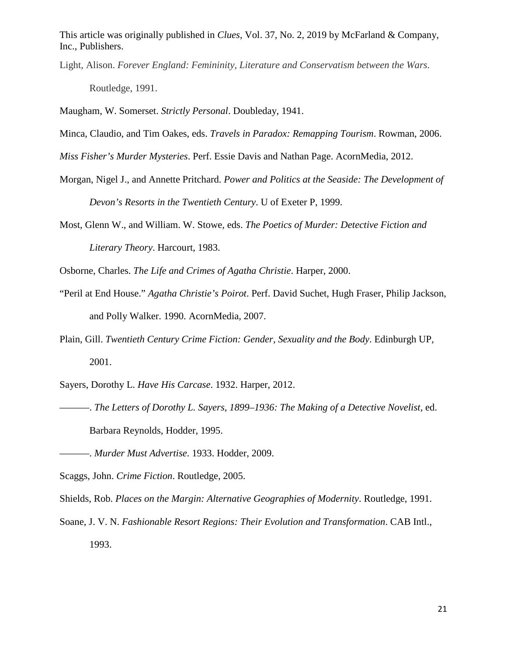Light, Alison. *Forever England: Femininity, Literature and Conservatism between the Wars*. Routledge, 1991.

Maugham, W. Somerset. *Strictly Personal*. Doubleday, 1941.

- Minca, Claudio, and Tim Oakes, eds. *Travels in Paradox: Remapping Tourism*. Rowman, 2006.
- *Miss Fisher's Murder Mysteries*. Perf. Essie Davis and Nathan Page. AcornMedia, 2012.
- Morgan, Nigel J., and Annette Pritchard. *Power and Politics at the Seaside: The Development of Devon's Resorts in the Twentieth Century*. U of Exeter P, 1999.
- Most, Glenn W., and William. W. Stowe, eds. *The Poetics of Murder: Detective Fiction and Literary Theory*. Harcourt, 1983.
- Osborne, Charles. *The Life and Crimes of Agatha Christie*. Harper, 2000.
- "Peril at End House." *Agatha Christie's Poirot*. Perf. David Suchet, Hugh Fraser, Philip Jackson, and Polly Walker. 1990. AcornMedia, 2007.
- Plain, Gill. *Twentieth Century Crime Fiction: Gender, Sexuality and the Body*. Edinburgh UP, 2001.
- Sayers, Dorothy L. *Have His Carcase*. 1932. Harper, 2012.
- ———. *The Letters of Dorothy L. Sayers, 1899–1936: The Making of a Detective Novelist,* ed. Barbara Reynolds, Hodder, 1995.

Scaggs, John. *Crime Fiction*. Routledge, 2005.

Shields, Rob. *Places on the Margin: Alternative Geographies of Modernity*. Routledge, 1991.

Soane, J. V. N. *Fashionable Resort Regions: Their Evolution and Transformation*. CAB Intl., 1993.

<sup>———.</sup> *Murder Must Advertise*. 1933. Hodder, 2009.